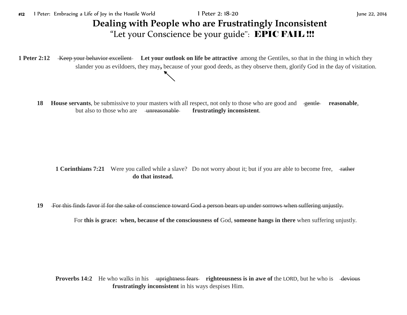**1 Peter 2:12** Keep your behavior excellent Let your outlook on life be attractive among the Gentiles, so that in the thing in which they slander you as evildoers, they may**,** because of your good deeds, as they observe them, glorify God in the day of visitation.

**18 House servants**, be submissive to your masters with all respect, not only to those who are good and gentle reasonable, but also to those who are unreasonable **frustratingly inconsistent**.

**1 Corinthians 7:21** Were you called while a slave? Do not worry about it; but if you are able to become free,  $\frac{4}{\text{rather}}$ **do that instead.**

**19** For this finds favor if for the sake of conscience toward God a person bears up under sorrows when suffering unjustly.

For **this is grace: when, because of the consciousness of** God, **someone hangs in there** when suffering unjustly.

**Proverbs 14:2** He who walks in his uprightness fears righteousness is in awe of the LORD, but he who is devious **frustratingly inconsistent** in his ways despises Him.